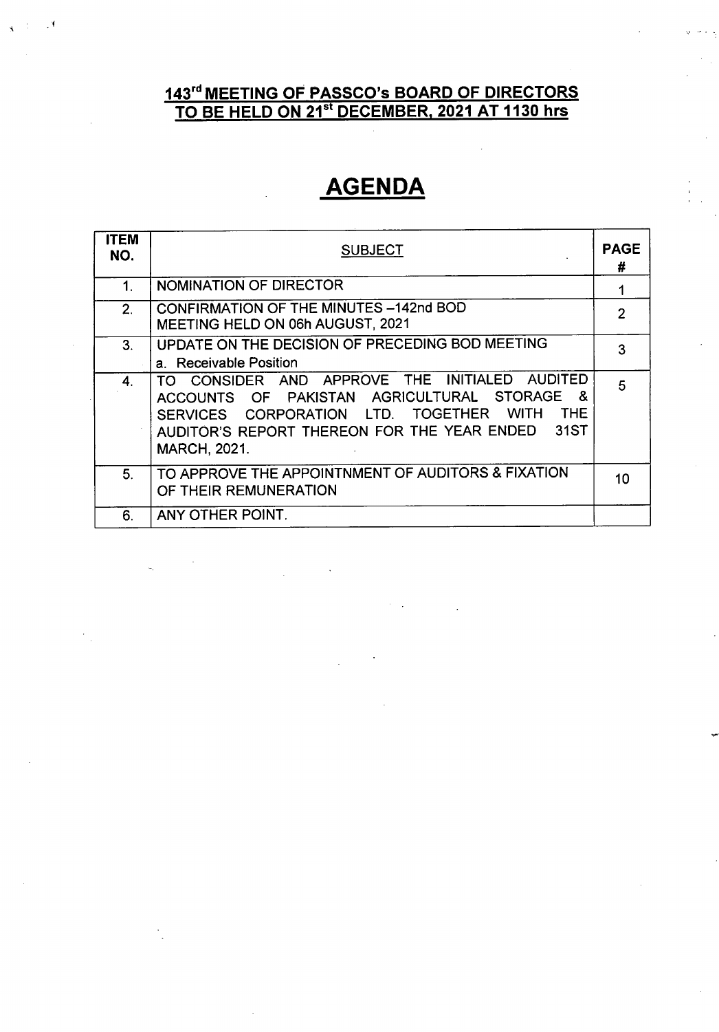### **143rd MEETING OF PASSCO's BOARD OF DIRECTORS TO BE HELD ON** 21st **DECEMBER, 2021 AT 1130 hrs**

 $\mathcal{A}$ 

# **AGENDA**

| <b>ITEM</b><br>NO. | <b>SUBJECT</b>                                                                                                                                                                                                                                                         | <b>PAGE</b><br># |
|--------------------|------------------------------------------------------------------------------------------------------------------------------------------------------------------------------------------------------------------------------------------------------------------------|------------------|
| 1.                 | <b>NOMINATION OF DIRECTOR</b>                                                                                                                                                                                                                                          |                  |
| 2 <sub>1</sub>     | <b>CONFIRMATION OF THE MINUTES-142nd BOD</b><br>MEETING HELD ON 06h AUGUST, 2021                                                                                                                                                                                       | $\mathbf{c}$     |
| 3 <sub>1</sub>     | UPDATE ON THE DECISION OF PRECEDING BOD MEETING<br>a. Receivable Position                                                                                                                                                                                              | 3                |
| $\mathbf{4}$       | TO CONSIDER AND APPROVE THE INITIALED AUDITED<br>OF PAKISTAN AGRICULTURAL STORAGE<br>-8.<br><b>ACCOUNTS</b><br><b>TOGETHER</b><br><b>THE</b><br><b>WITH</b><br>SERVICES CORPORATION LTD.<br>31ST<br>AUDITOR'S REPORT THEREON FOR THE YEAR ENDED<br><b>MARCH, 2021.</b> | 5                |
| 5 <sub>1</sub>     | TO APPROVE THE APPOINTNMENT OF AUDITORS & FIXATION<br>OF THEIR REMUNERATION                                                                                                                                                                                            | 10               |
| 6.                 | ANY OTHER POINT.                                                                                                                                                                                                                                                       |                  |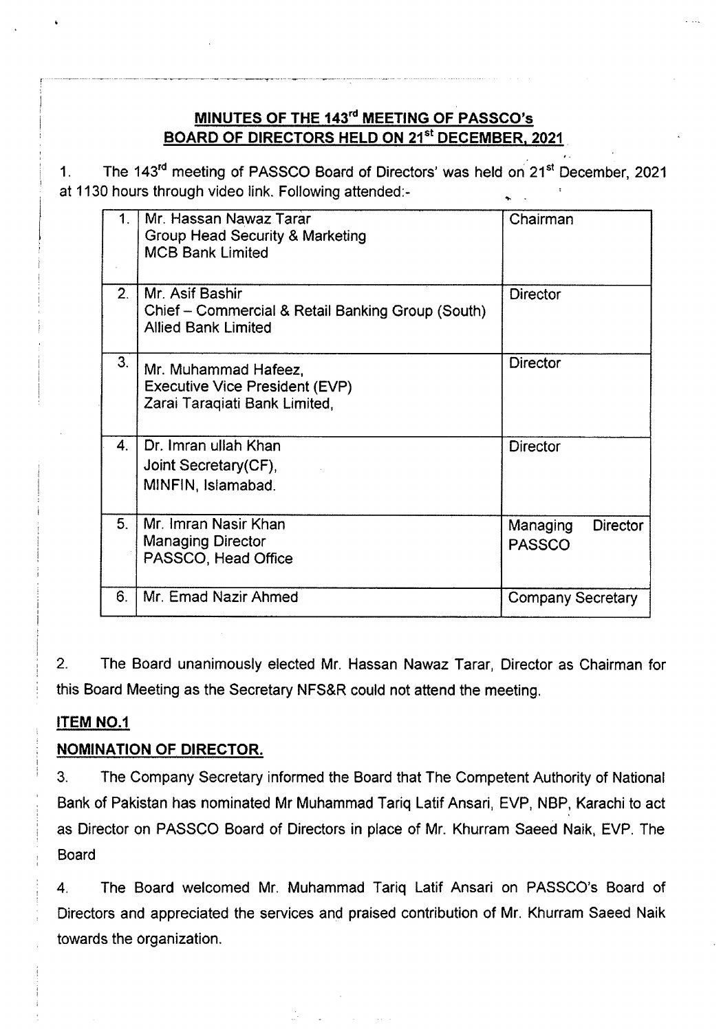### **MINUTES OF THE 143rd MEETING OF PASSCO's BOARD OF DIRECTORS HELD ON** 21st **DECEMBER, 2021 .** ,.

1. The 143<sup>rd</sup> meeting of PASSCO Board of Directors' was held on 21<sup>st</sup> December, 2021 at 1130 hours through video link. Following attended:-

|                | Mr. Hassan Nawaz Tarar<br><b>Group Head Security &amp; Marketing</b><br><b>MCB Bank Limited</b>    | Chairman                                     |
|----------------|----------------------------------------------------------------------------------------------------|----------------------------------------------|
| 2 <sup>1</sup> | Mr. Asif Bashir<br>Chief – Commercial & Retail Banking Group (South)<br><b>Allied Bank Limited</b> | <b>Director</b>                              |
| 3 <sub>1</sub> | Mr. Muhammad Hafeez,<br><b>Executive Vice President (EVP)</b><br>Zarai Taraqiati Bank Limited,     | <b>Director</b>                              |
| 4.             | Dr. Imran ullah Khan<br>Joint Secretary (CF),<br>MINFIN, Islamabad.                                | <b>Director</b>                              |
| 5 <sub>1</sub> | Mr. Imran Nasir Khan<br><b>Managing Director</b><br>PASSCO, Head Office                            | <b>Director</b><br>Managing<br><b>PASSCO</b> |
| 6.             | Mr. Emad Nazir Ahmed                                                                               | <b>Company Secretary</b>                     |

2. The Board unanimously elected Mr. Hassan Nawaz Tarar, Director as Chairman for this Board Meeting as the Secretary NFS&R could not attend the meeting.

### **ITEM NO.1**

### **NOMINATION OF DIRECTOR.**

3. The Company Secretary informed the Board that The Competent Authority of National Bank of Pakistan has nominated Mr Muhammad Tariq Latif Ansari, EVP, NBP, Karachi to act as Director on PASSCO Board of Directors in place of Mr. Khurram Saeed Naik, EVP. The Board

4. The Board welcomed Mr. Muhammad Tariq Latif Ansari on PASSCO's Board of Directors and appreciated the services and praised contribution of Mr. Khurram Saeed Naik towards the organization.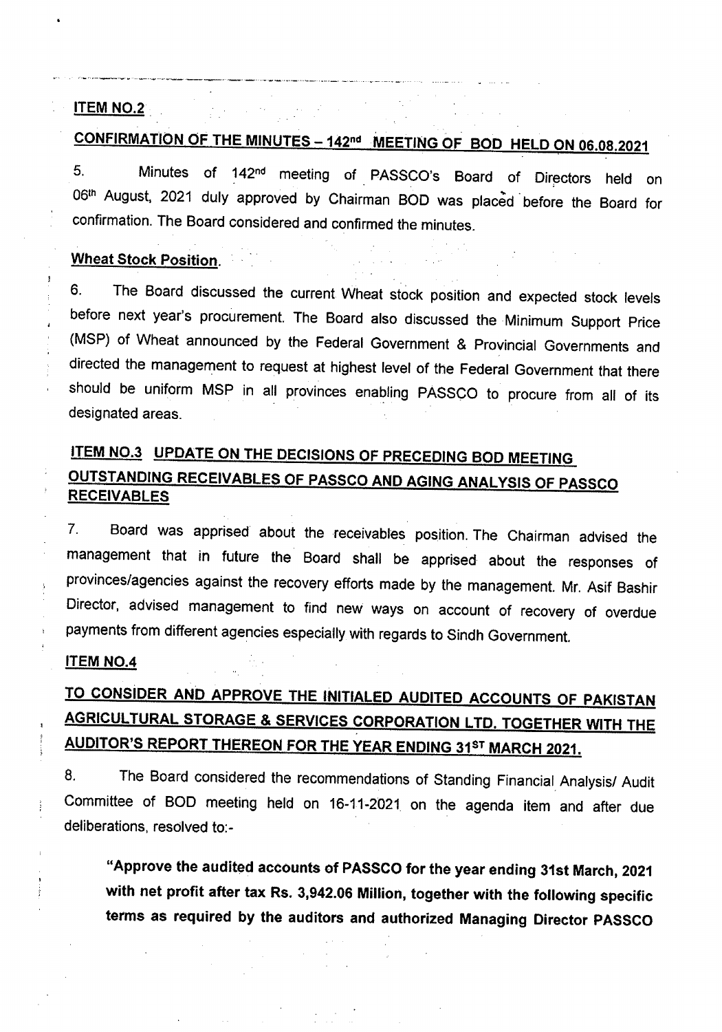### ITEM NO.2

# CONFIRMATION OF THE MINUTES - 142nd MEETING OF BOD HELD ON 06.08.2021

, we are represented to the constant of the second constant of the contract constant of the contract of the second contract of the contract of the contract of the contract of the contract of the contract of the contract o

5. Minutes of 142<sup>nd</sup> meeting of PASSCO's Board of Directors held on 06<sup>th</sup> August, 2021 duly approved by Chairman BOD was placed before the Board for confirmation. The Board considered and confirmed the minutes.

### Wheat Stock Position.

6. The Board discussed the current Wheat stock position and expected stock levels before next year's procurement. The Board also discussed the. Minimum Support Price (MSP) of Wheat announced by the Federal Government & Provincial Governments and directed the management to request at highest level of the Federal Government that there should be uniform MSP in all provinces enabling PASSCO to procure from all of its designated areas.

### ITEM NO.3 UPDATE ON THE DECISIONS OF PRECEDING BOD MEETING OUTSTANDING RECEIVABLES OF PASSCO AND AGING ANALYSIS OF PASSCO RECEIVABLES

7. Board was apprised. about the receivables position. The Chairman advised the management that in future the Board shall be apprised about the responses of provinces/agencies against the recovery efforts made by the management. Mr. Asif Bashir Director, advised management to find new ways on account of recovery of overdue payments from different agencies especially with regards to Sindh Government.

#### ITEM NO.4

## TO CONSIDER AND APPROVE THE INITIALED AUDITED ACCOUNTS OF PAKISTAN AGRICULTURAL STORAGE & SERVICES CORPORATION LTD. TOGETHER WITH THE AUDITOR'S REPORT THEREON FOR THE YEAR ENDING 31ST MARCH 2021.

8. The Board considered the recommendations of Standing Financial Analysis/ Audit Committee of BOD meeting held on 16-11-2021 on the agenda item and after due deliberations, resolved to:-

"Approve the audited accounts of PASSCO for the year ending 31st March, 2021 with net profit after tax Rs. 3,942.06 Million, together with the following specific terms as required by the auditors and authorized Managing Director PASSCO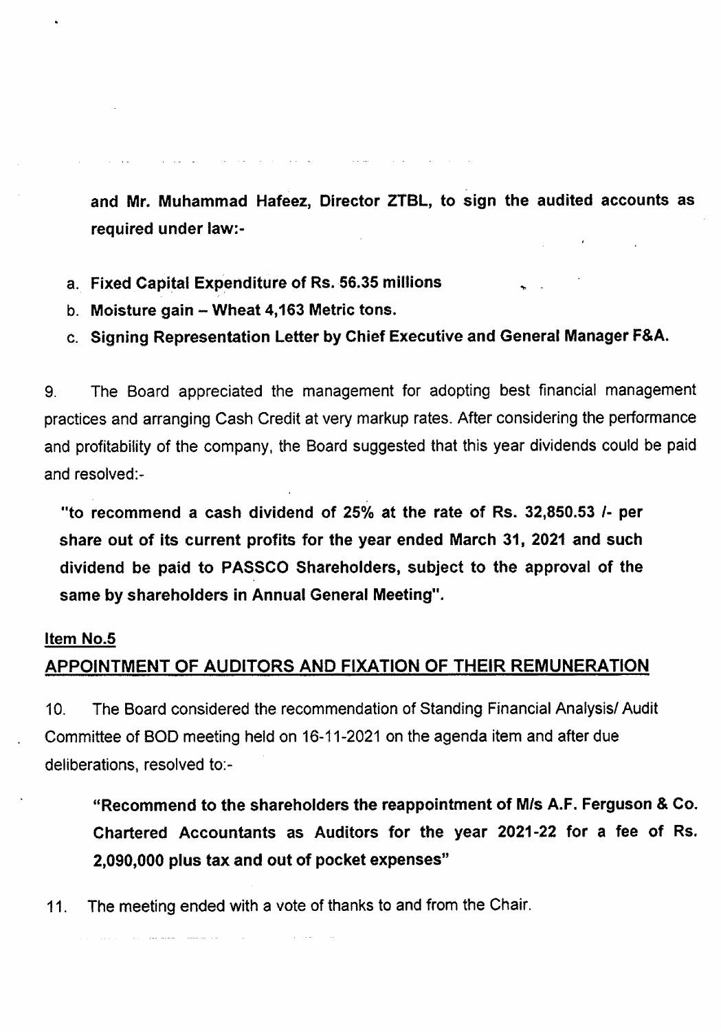and Mr. Muhammad Hafeez, Director ZTBL, to sign the audited accounts as required under law: .•

~ .

a. Fixed Capital Expenditure of RS.56.35 millions

ر المسلمين.<br>المسلمين المسلمين المسلمين المسلمين المسلمين المسلمين المسلمين المسلمين المسلمين المسلمين المسلمين المسلمين ال

- b. Moisture gain Wheat 4,163 Metric tons.
- c. Signing Representation Letter by Chief Executive and General Manager F&A.

9. The Board appreciated the management for adopting best financial management practices and arranging Cash Credit at very markup rates. After considering the performance and profitability of the company, the Board suggested that this year dividends could be paid and resolved:-

"to recommend a cash dividend of 25% at the rate of Rs. 32,850.53 *1-* per share out of its current profits for the year ended March 31, 2021 and such dividend be paid to PASSCO Shareholders, subject to the approval of the same by shareholders in Annual General Meeting".

### Item NO.5

### APPOINTMENT OF AUDITORS AND FIXATION OF THEIR REMUNERATION

1O. The Board considered the recommendation of Standing Financial Analysisl Audit Committee of BOD meeting held on 16-11-2021 on the agenda item and after due deliberations, resolved to:-

"Recommend to the shareholders the reappointment of Mis A.F. Ferguson & Co. Chartered Accountants as Auditors for the year 2021-22 for a fee of Rs. 2,090,000 plus tax and out of pocket expenses"

11. The meeting ended with a vote of thanks to and from the Chair.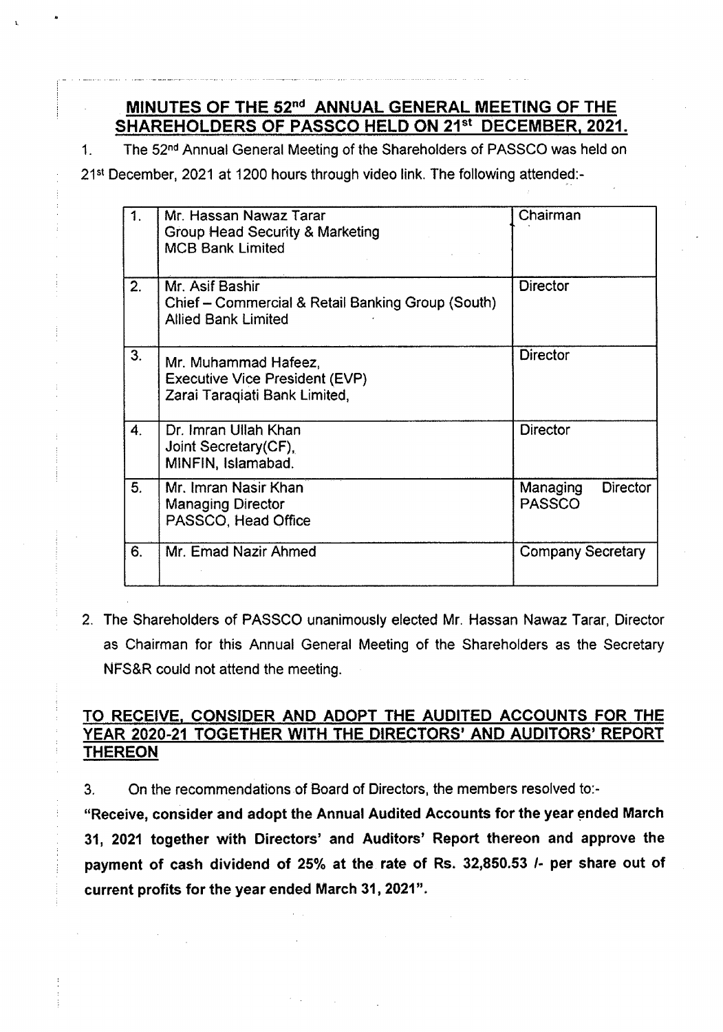### MINUTES OF THE 52<sup>nd</sup> ANNUAL GENERAL MEETING OF THE SHAREHOLDERS OF PASSCO HELD ON 21st DECEMBER, 2021.

1. The 52<sup>nd</sup> Annual General Meeting of the Shareholders of PASSCO was held on

21st December. 2021 at 1200 hours through video link. The following attended:-

|                | Mr. Hassan Nawaz Tarar<br>Group Head Security & Marketing<br><b>MCB Bank Limited</b>               | Chairman                                     |
|----------------|----------------------------------------------------------------------------------------------------|----------------------------------------------|
| 2.             | Mr. Asif Bashir<br>Chief – Commercial & Retail Banking Group (South)<br><b>Allied Bank Limited</b> | <b>Director</b>                              |
| 3 <sub>1</sub> | Mr. Muhammad Hafeez,<br><b>Executive Vice President (EVP)</b><br>Zarai Taraqiati Bank Limited,     | <b>Director</b>                              |
| 4.             | Dr. Imran Ullah Khan<br>Joint Secretary (CF),<br>MINFIN, Islamabad.                                | <b>Director</b>                              |
| 5.             | Mr. Imran Nasir Khan<br><b>Managing Director</b><br>PASSCO, Head Office                            | <b>Director</b><br>Managing<br><b>PASSCO</b> |
| 6.             | Mr. Emad Nazir Ahmed                                                                               | <b>Company Secretary</b>                     |

2. The Shareholders of PASSCO unanimously elected Mr. Hassan Nawaz Tarar, Director as Chairman for this Annual General Meeting of the Shareholders as the Secretary NFS&R could not attend the meeting.

### TO RECEIVE, CONSIDER AND ADOPT THE AUDITED ACCOUNTS FOR THE YEAR 2020-21 TOGETHER WITH THE DIRECTORS' AND AUDITORS' REPORT THEREON

3. On the recommendations of Board of Directors, the members resolved to:-

"Receive, consider and adopt the Annual Audited Accounts for the year ended March 31, 2021 together with Directors' and Auditors' Report thereon and approve the payment of cash dividend of 25% at the rate of Rs. 32,850.53 /- per share out of current profits for the year ended March 31, 2021".